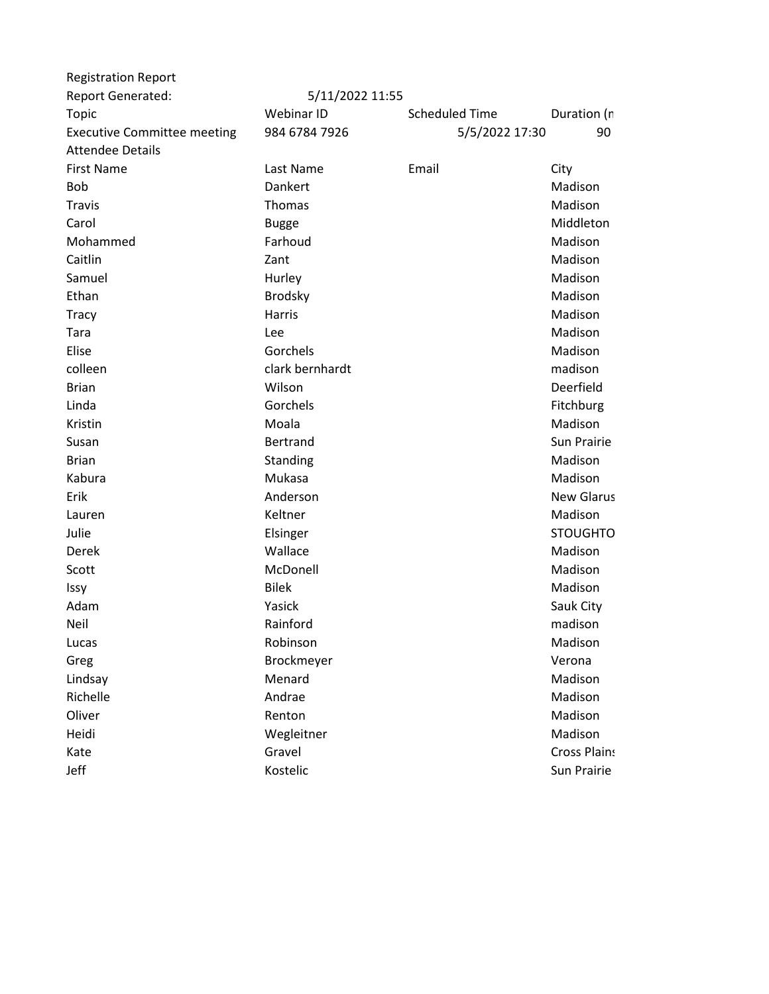| <b>Registration Report</b>         |                 |                       |                     |
|------------------------------------|-----------------|-----------------------|---------------------|
| <b>Report Generated:</b>           | 5/11/2022 11:55 |                       |                     |
| <b>Topic</b>                       | Webinar ID      | <b>Scheduled Time</b> | Duration (n         |
| <b>Executive Committee meeting</b> | 984 6784 7926   | 5/5/2022 17:30        | 90                  |
| <b>Attendee Details</b>            |                 |                       |                     |
| <b>First Name</b>                  | Last Name       | Email                 | City                |
| <b>Bob</b>                         | Dankert         |                       | Madison             |
| <b>Travis</b>                      | Thomas          |                       | Madison             |
| Carol                              | <b>Bugge</b>    |                       | Middleton           |
| Mohammed                           | Farhoud         |                       | Madison             |
| Caitlin                            | Zant            |                       | Madison             |
| Samuel                             | Hurley          |                       | Madison             |
| Ethan                              | <b>Brodsky</b>  |                       | Madison             |
| <b>Tracy</b>                       | Harris          |                       | Madison             |
| Tara                               | Lee             |                       | Madison             |
| Elise                              | Gorchels        |                       | Madison             |
| colleen                            | clark bernhardt |                       | madison             |
| <b>Brian</b>                       | Wilson          |                       | Deerfield           |
| Linda                              | Gorchels        |                       | Fitchburg           |
| Kristin                            | Moala           |                       | Madison             |
| Susan                              | <b>Bertrand</b> |                       | Sun Prairie         |
| <b>Brian</b>                       | Standing        |                       | Madison             |
| Kabura                             | Mukasa          |                       | Madison             |
| Erik                               | Anderson        |                       | <b>New Glarus</b>   |
| Lauren                             | Keltner         |                       | Madison             |
| Julie                              | Elsinger        |                       | <b>STOUGHTO</b>     |
| Derek                              | Wallace         |                       | Madison             |
| Scott                              | McDonell        |                       | Madison             |
| Issy                               | <b>Bilek</b>    |                       | Madison             |
| Adam                               | Yasick          |                       | Sauk City           |
| Neil                               | Rainford        |                       | madison             |
| Lucas                              | Robinson        |                       | Madison             |
| Greg                               | Brockmeyer      |                       | Verona              |
| Lindsay                            | Menard          |                       | Madison             |
| Richelle                           | Andrae          |                       | Madison             |
| Oliver                             | Renton          |                       | Madison             |
| Heidi                              | Wegleitner      |                       | Madison             |
| Kate                               | Gravel          |                       | <b>Cross Plains</b> |
| Jeff                               | Kostelic        |                       | Sun Prairie         |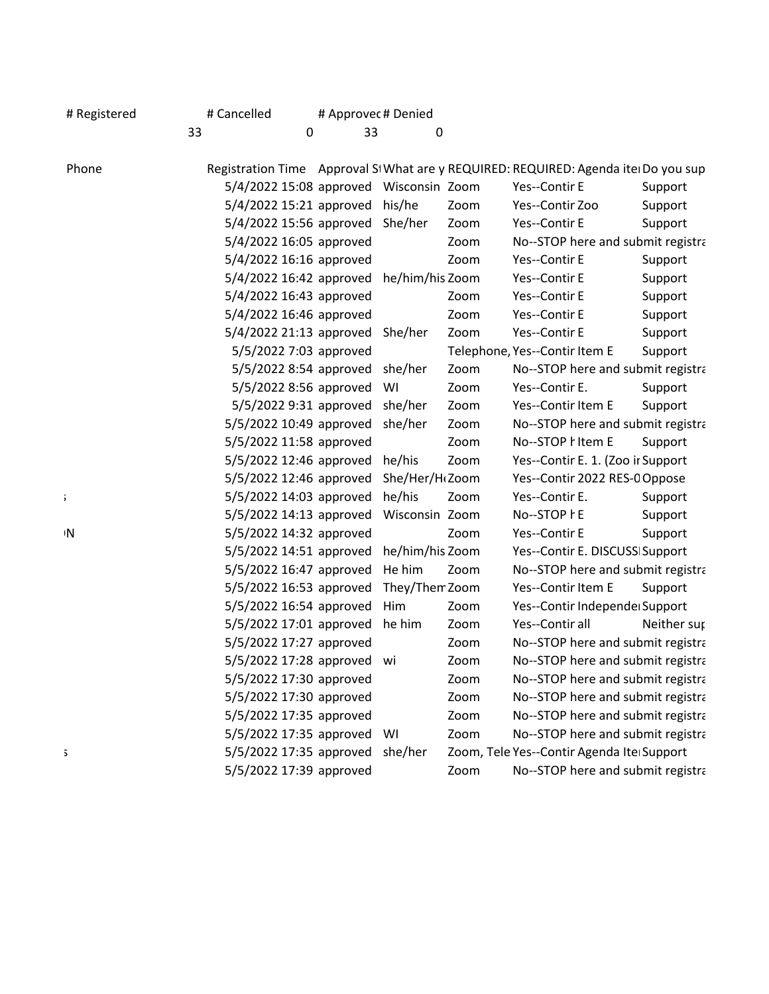| # Registered | # Cancelled                                         |         | # Approvec # Denied |      |                                                                                    |             |
|--------------|-----------------------------------------------------|---------|---------------------|------|------------------------------------------------------------------------------------|-------------|
|              | 33                                                  | 33<br>∩ |                     | 0    |                                                                                    |             |
| Phone        |                                                     |         |                     |      | Registration Time Approval SI What are y REQUIRED: REQUIRED: Agenda ite Do you sup |             |
|              | 5/4/2022 15:08 approved Wisconsin Zoom              |         |                     |      | Yes--Contir E                                                                      | Support     |
|              | 5/4/2022 15:21 approved his/he                      |         |                     | Zoom | Yes--Contir Zoo                                                                    | Support     |
|              | 5/4/2022 15:56 approved She/her                     |         |                     | Zoom | Yes--Contir E                                                                      | Support     |
|              | 5/4/2022 16:05 approved                             |         |                     | Zoom | No--STOP here and submit registra                                                  |             |
|              | 5/4/2022 16:16 approved                             |         |                     | Zoom | Yes--Contir E                                                                      | Support     |
|              | 5/4/2022 16:42 approved he/him/his Zoom             |         |                     |      | Yes--Contir E                                                                      | Support     |
|              | 5/4/2022 16:43 approved                             |         |                     | Zoom | Yes--Contir E                                                                      | Support     |
|              | 5/4/2022 16:46 approved                             |         |                     | Zoom | Yes--Contir E                                                                      | Support     |
|              | 5/4/2022 21:13 approved She/her                     |         |                     | Zoom | Yes--Contir E                                                                      | Support     |
|              | 5/5/2022 7:03 approved                              |         |                     |      | Telephone, Yes--Contir Item E                                                      | Support     |
|              | 5/5/2022 8:54 approved she/her                      |         |                     | Zoom | No--STOP here and submit registra                                                  |             |
|              | 5/5/2022 8:56 approved WI                           |         |                     | Zoom | Yes--Contir E.                                                                     | Support     |
|              | 5/5/2022 9:31 approved she/her                      |         |                     | Zoom | Yes--Contir Item E                                                                 | Support     |
|              | 5/5/2022 10:49 approved she/her                     |         |                     | Zoom | No--STOP here and submit registra                                                  |             |
|              | 5/5/2022 11:58 approved                             |         |                     | Zoom | No--STOP hitem E                                                                   | Support     |
|              | 5/5/2022 12:46 approved he/his                      |         |                     | Zoom | Yes--Contir E. 1. (Zoo ir Support                                                  |             |
|              | 5/5/2022 12:46 approved She/Her/H <sub>'</sub> Zoom |         |                     |      | Yes--Contir 2022 RES-0 Oppose                                                      |             |
|              | 5/5/2022 14:03 approved he/his                      |         |                     | Zoom | Yes--Contir E.                                                                     | Support     |
|              | 5/5/2022 14:13 approved Wisconsin Zoom              |         |                     |      | No--STOP hE                                                                        | Support     |
| ۱N           | 5/5/2022 14:32 approved                             |         |                     | Zoom | Yes--Contir E                                                                      | Support     |
|              | 5/5/2022 14:51 approved he/him/his Zoom             |         |                     |      | Yes--Contir E. DISCUSS Support                                                     |             |
|              | 5/5/2022 16:47 approved He him                      |         |                     | Zoom | No--STOP here and submit registra                                                  |             |
|              | 5/5/2022 16:53 approved They/Then Zoom              |         |                     |      | Yes--Contir Item E                                                                 | Support     |
|              | 5/5/2022 16:54 approved Him                         |         |                     | Zoom | Yes--Contir Independe Support                                                      |             |
|              | 5/5/2022 17:01 approved he him                      |         |                     | Zoom | Yes--Contir all                                                                    | Neither sur |
|              | 5/5/2022 17:27 approved                             |         |                     | Zoom | No--STOP here and submit registra                                                  |             |
|              | 5/5/2022 17:28 approved wi                          |         |                     | Zoom | No--STOP here and submit registra                                                  |             |
|              | 5/5/2022 17:30 approved                             |         |                     | Zoom | No--STOP here and submit registra                                                  |             |
|              | 5/5/2022 17:30 approved                             |         |                     | Zoom | No--STOP here and submit registra                                                  |             |
|              | 5/5/2022 17:35 approved                             |         |                     | Zoom | No--STOP here and submit registra                                                  |             |
|              | 5/5/2022 17:35 approved WI                          |         |                     | Zoom | No--STOP here and submit registra                                                  |             |
|              | 5/5/2022 17:35 approved she/her                     |         |                     |      | Zoom, Tele Yes--Contir Agenda Ite Support                                          |             |
|              | 5/5/2022 17:39 approved                             |         |                     | Zoom | No--STOP here and submit registra                                                  |             |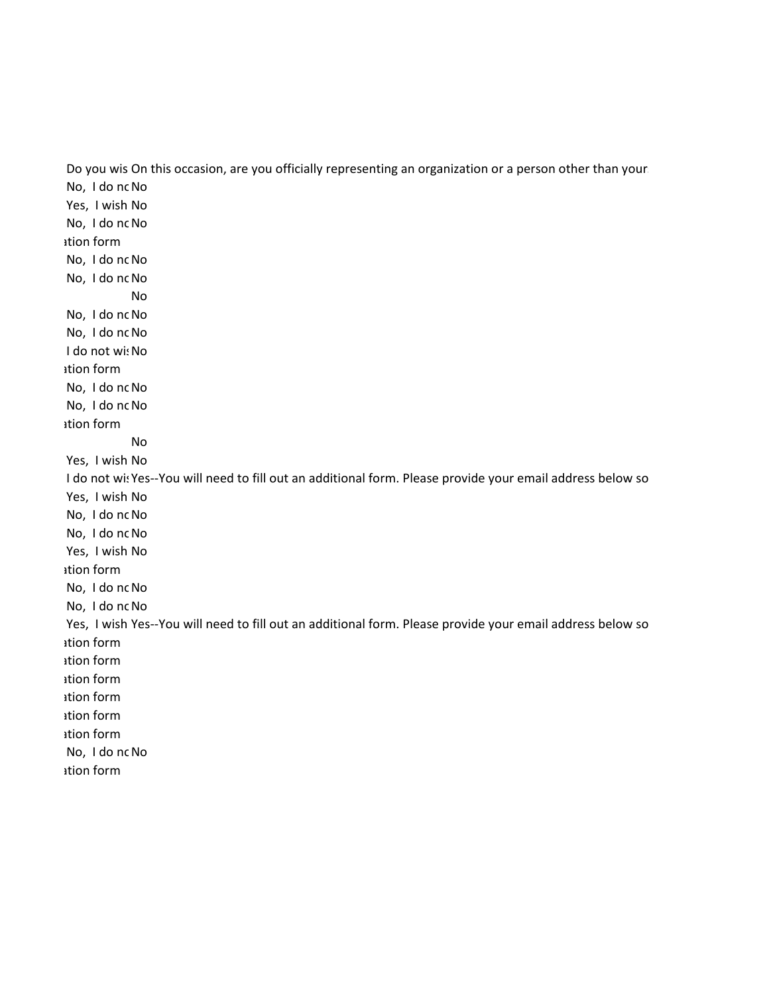Do you wis On this occasion, are you officially representing an organization or a person other than your No, I do nc No Yes, I wish No No, I do nc No ation form No, I do nc No No, I do nc No No No, I do nc No No, I do nc No I do not wis No ation form No, I do nc No No, I do nc No ation form No Yes, I wish No I do not wis Yes--You will need to fill out an additional form. Please provide your email address below so Yes, I wish No No, I do nc No No, I do nc No Yes, I wish No ation form No, I do nc No No, I do nc No Yes, I wish Yes--You will need to fill out an additional form. Please provide your email address below so ation form ation form ation form ation form ation form ation form No, I do nc No ation form